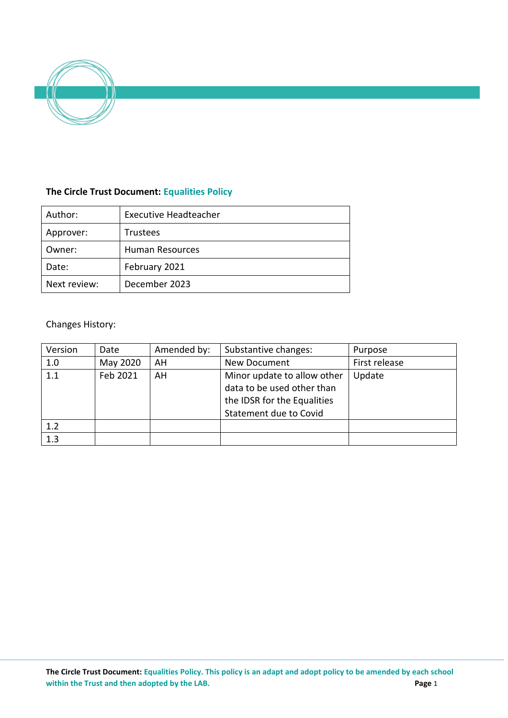

## **The Circle Trust Document: Equalities Policy**

| Author:      | <b>Executive Headteacher</b> |  |  |
|--------------|------------------------------|--|--|
| Approver:    | <b>Trustees</b>              |  |  |
| Owner:       | Human Resources              |  |  |
| Date:        | February 2021                |  |  |
| Next review: | December 2023                |  |  |

# Changes History:

| Version | Date     | Amended by: | Substantive changes:                                                                                                      | Purpose       |
|---------|----------|-------------|---------------------------------------------------------------------------------------------------------------------------|---------------|
| 1.0     | May 2020 | AH          | New Document                                                                                                              | First release |
| 1.1     | Feb 2021 | AH          | Minor update to allow other<br>data to be used other than<br>the IDSR for the Equalities<br><b>Statement due to Covid</b> | Update        |
| 1.2     |          |             |                                                                                                                           |               |
| 1.3     |          |             |                                                                                                                           |               |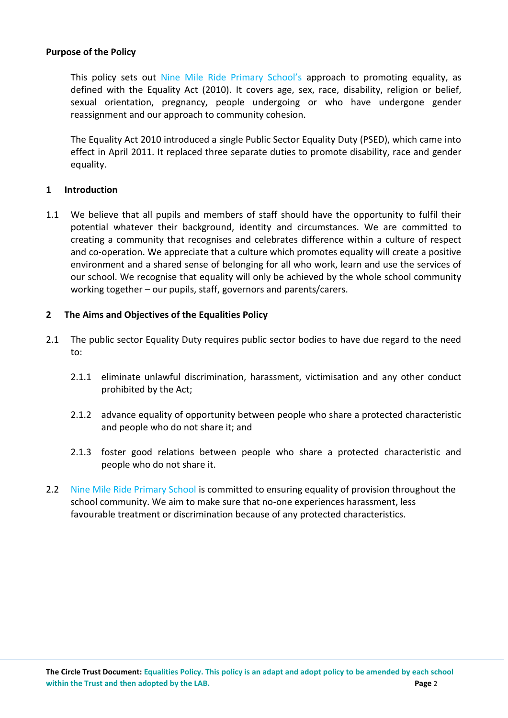#### **Purpose of the Policy**

This policy sets out Nine Mile Ride Primary School's approach to promoting equality, as defined with the Equality Act (2010). It covers age, sex, race, disability, religion or belief, sexual orientation, pregnancy, people undergoing or who have undergone gender reassignment and our approach to community cohesion.

The Equality Act 2010 introduced a single Public Sector Equality Duty (PSED), which came into effect in April 2011. It replaced three separate duties to promote disability, race and gender equality.

## **1 Introduction**

1.1 We believe that all pupils and members of staff should have the opportunity to fulfil their potential whatever their background, identity and circumstances. We are committed to creating a community that recognises and celebrates difference within a culture of respect and co-operation. We appreciate that a culture which promotes equality will create a positive environment and a shared sense of belonging for all who work, learn and use the services of our school. We recognise that equality will only be achieved by the whole school community working together – our pupils, staff, governors and parents/carers.

## **2 The Aims and Objectives of the Equalities Policy**

- 2.1 The public sector Equality Duty requires public sector bodies to have due regard to the need to:
	- 2.1.1 eliminate unlawful discrimination, harassment, victimisation and any other conduct prohibited by the Act;
	- 2.1.2 advance equality of opportunity between people who share a protected characteristic and people who do not share it; and
	- 2.1.3 foster good relations between people who share a protected characteristic and people who do not share it.
- 2.2 Nine Mile Ride Primary School is committed to ensuring equality of provision throughout the school community. We aim to make sure that no-one experiences harassment, less favourable treatment or discrimination because of any protected characteristics.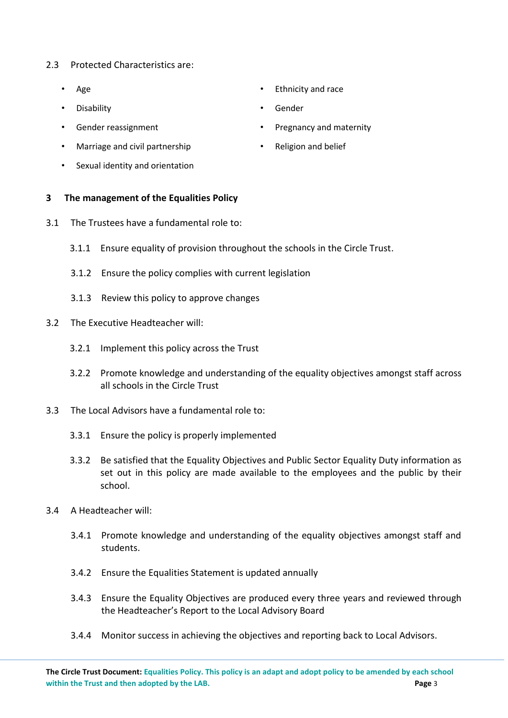#### 2.3 Protected Characteristics are:

- Age
- Disability
- Gender reassignment
- Marriage and civil partnership
- Sexual identity and orientation

#### **3 The management of the Equalities Policy**

- 3.1 The Trustees have a fundamental role to:
	- 3.1.1 Ensure equality of provision throughout the schools in the Circle Trust.
	- 3.1.2 Ensure the policy complies with current legislation
	- 3.1.3 Review this policy to approve changes
- 3.2 The Executive Headteacher will:
	- 3.2.1 Implement this policy across the Trust
	- 3.2.2 Promote knowledge and understanding of the equality objectives amongst staff across all schools in the Circle Trust
- 3.3 The Local Advisors have a fundamental role to:
	- 3.3.1 Ensure the policy is properly implemented
	- 3.3.2 Be satisfied that the Equality Objectives and Public Sector Equality Duty information as set out in this policy are made available to the employees and the public by their school.
- 3.4 A Headteacher will:
	- 3.4.1 Promote knowledge and understanding of the equality objectives amongst staff and students.
	- 3.4.2 Ensure the Equalities Statement is updated annually
	- 3.4.3 Ensure the Equality Objectives are produced every three years and reviewed through the Headteacher's Report to the Local Advisory Board
	- 3.4.4 Monitor success in achieving the objectives and reporting back to Local Advisors.
- Ethnicity and race
- Gender
- Pregnancy and maternity
- Religion and belief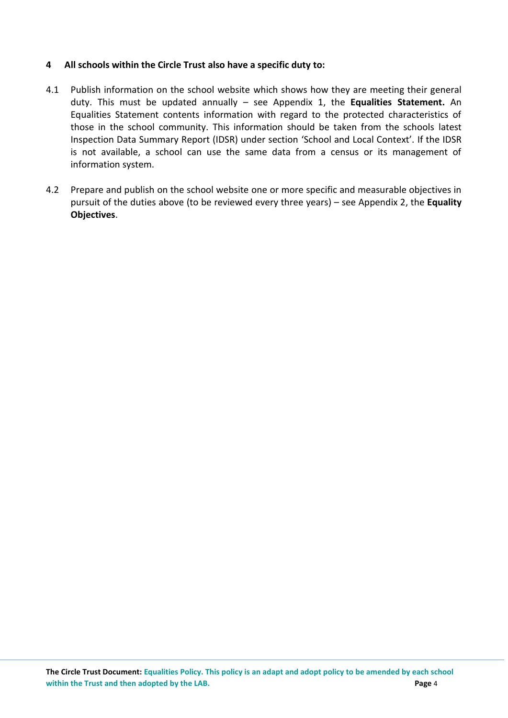## **4 All schools within the Circle Trust also have a specific duty to:**

- 4.1 Publish information on the school website which shows how they are meeting their general duty. This must be updated annually – see Appendix 1, the **Equalities Statement.** An Equalities Statement contents information with regard to the protected characteristics of those in the school community. This information should be taken from the schools latest Inspection Data Summary Report (IDSR) under section 'School and Local Context'. If the IDSR is not available, a school can use the same data from a census or its management of information system.
- 4.2 Prepare and publish on the school website one or more specific and measurable objectives in pursuit of the duties above (to be reviewed every three years) – see Appendix 2, the **Equality Objectives**.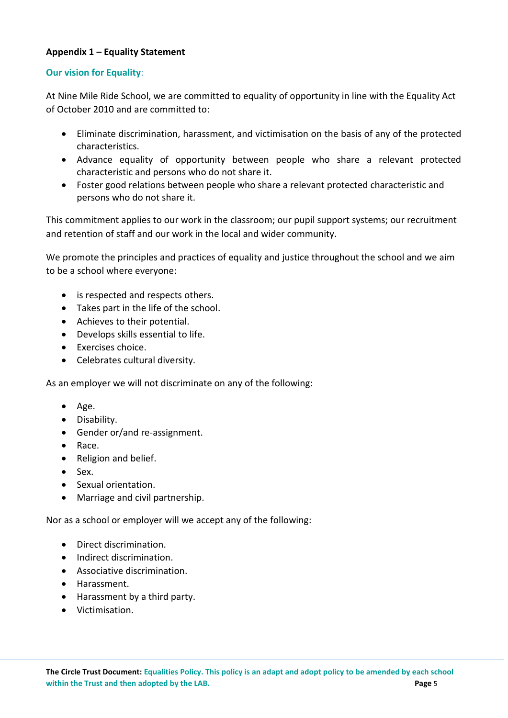## **Appendix 1 – Equality Statement**

#### **Our vision for Equality:**

At Nine Mile Ride School, we are committed to equality of opportunity in line with the Equality Act of October 2010 and are committed to:

- Eliminate discrimination, harassment, and victimisation on the basis of any of the protected characteristics.
- Advance equality of opportunity between people who share a relevant protected characteristic and persons who do not share it.
- Foster good relations between people who share a relevant protected characteristic and persons who do not share it.

This commitment applies to our work in the classroom; our pupil support systems; our recruitment and retention of staff and our work in the local and wider community.

We promote the principles and practices of equality and justice throughout the school and we aim to be a school where everyone:

- is respected and respects others.
- Takes part in the life of the school.
- Achieves to their potential.
- Develops skills essential to life.
- Exercises choice.
- Celebrates cultural diversity.

As an employer we will not discriminate on any of the following:

- $Age.$
- **•** Disability.
- Gender or/and re-assignment.
- Race.
- Religion and belief.
- $-$  Sex.
- Sexual orientation.
- Marriage and civil partnership.

Nor as a school or employer will we accept any of the following:

- Direct discrimination.
- $\bullet$  Indirect discrimination.
- Associative discrimination.
- Harassment.
- Harassment by a third party.
- **•** Victimisation.